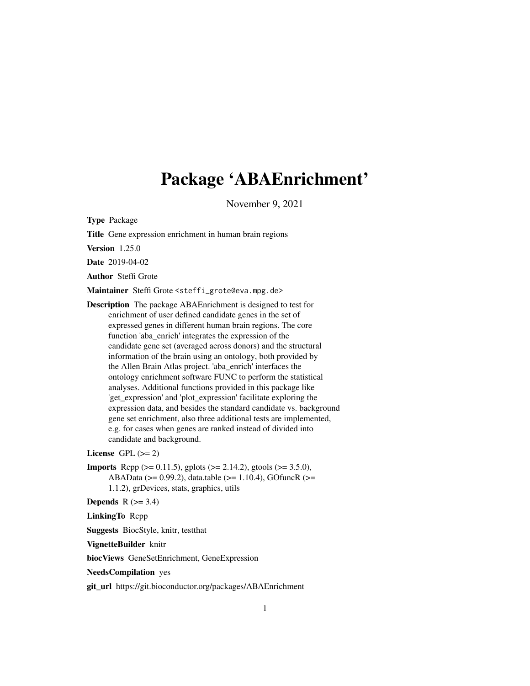# Package 'ABAEnrichment'

November 9, 2021

<span id="page-0-0"></span>Type Package

Title Gene expression enrichment in human brain regions

Version 1.25.0

Date 2019-04-02

Author Steffi Grote

Maintainer Steffi Grote <steffi\_grote@eva.mpg.de>

Description The package ABAEnrichment is designed to test for enrichment of user defined candidate genes in the set of expressed genes in different human brain regions. The core function 'aba\_enrich' integrates the expression of the candidate gene set (averaged across donors) and the structural information of the brain using an ontology, both provided by the Allen Brain Atlas project. 'aba\_enrich' interfaces the ontology enrichment software FUNC to perform the statistical analyses. Additional functions provided in this package like 'get\_expression' and 'plot\_expression' facilitate exploring the expression data, and besides the standard candidate vs. background gene set enrichment, also three additional tests are implemented, e.g. for cases when genes are ranked instead of divided into candidate and background.

License GPL  $(>= 2)$ 

**Imports** Rcpp ( $>= 0.11.5$ ), gplots ( $>= 2.14.2$ ), gtools ( $>= 3.5.0$ ), ABAData (>= 0.99.2), data.table (>= 1.10.4), GOfuncR (>= 1.1.2), grDevices, stats, graphics, utils

Depends  $R$  ( $>= 3.4$ )

LinkingTo Rcpp

Suggests BiocStyle, knitr, testthat

VignetteBuilder knitr

biocViews GeneSetEnrichment, GeneExpression

NeedsCompilation yes

git\_url https://git.bioconductor.org/packages/ABAEnrichment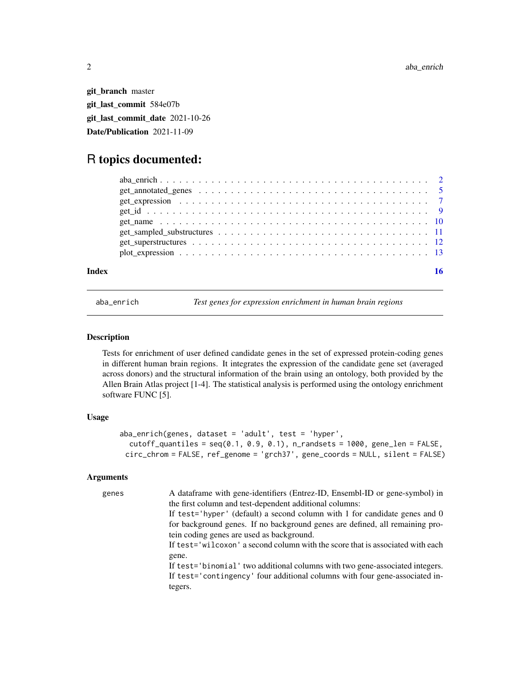<span id="page-1-0"></span>git\_branch master git\_last\_commit 584e07b git\_last\_commit\_date 2021-10-26 Date/Publication 2021-11-09

# R topics documented:

| Index |  |  |  |  |  |  |  |  |  |  |  |  |  |  |  | 16 |
|-------|--|--|--|--|--|--|--|--|--|--|--|--|--|--|--|----|

<span id="page-1-1"></span>

aba\_enrich *Test genes for expression enrichment in human brain regions*

# Description

Tests for enrichment of user defined candidate genes in the set of expressed protein-coding genes in different human brain regions. It integrates the expression of the candidate gene set (averaged across donors) and the structural information of the brain using an ontology, both provided by the Allen Brain Atlas project [1-4]. The statistical analysis is performed using the ontology enrichment software FUNC [5].

# Usage

```
aba_enrich(genes, dataset = 'adult', test = 'hyper',
  cutoff_quantiles = seq(0.1, 0.9, 0.1), n_randsets = 1000, gene_len = FALSE,circ_chrom = FALSE, ref_genome = 'grch37', gene_coords = NULL, silent = FALSE)
```
# Arguments

| genes | A dataframe with gene-identifiers (Entrez-ID, Ensembl-ID or gene-symbol) in    |
|-------|--------------------------------------------------------------------------------|
|       | the first column and test-dependent additional columns:                        |
|       | If test='hyper' (default) a second column with 1 for candidate genes and 0     |
|       | for background genes. If no background genes are defined, all remaining pro-   |
|       | tein coding genes are used as background.                                      |
|       | If test='wilcoxon' a second column with the score that is associated with each |
|       | gene.                                                                          |
|       | If test='binomial' two additional columns with two gene-associated integers.   |
|       | If test='contingency' four additional columns with four gene-associated in-    |
|       | tegers.                                                                        |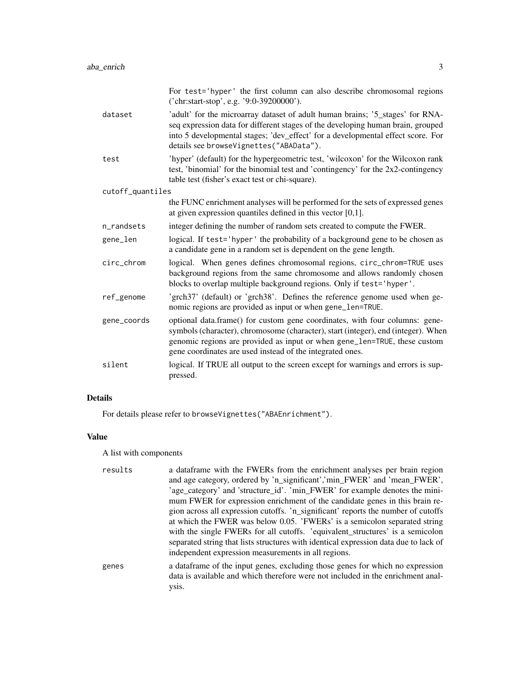|                  | For test='hyper' the first column can also describe chromosomal regions<br>('chr:start-stop', e.g. '9:0-39200000').                                                                                                                                                                                        |
|------------------|------------------------------------------------------------------------------------------------------------------------------------------------------------------------------------------------------------------------------------------------------------------------------------------------------------|
| dataset          | 'adult' for the microarray dataset of adult human brains; '5_stages' for RNA-<br>seq expression data for different stages of the developing human brain, grouped<br>into 5 developmental stages; 'dev_effect' for a developmental effect score. For<br>details see browseVignettes("ABAData").             |
| test             | 'hyper' (default) for the hypergeometric test, 'wilcoxon' for the Wilcoxon rank<br>test, 'binomial' for the binomial test and 'contingency' for the 2x2-contingency<br>table test (fisher's exact test or chi-square).                                                                                     |
| cutoff_quantiles |                                                                                                                                                                                                                                                                                                            |
|                  | the FUNC enrichment analyses will be performed for the sets of expressed genes<br>at given expression quantiles defined in this vector $[0,1]$ .                                                                                                                                                           |
| n_randsets       | integer defining the number of random sets created to compute the FWER.                                                                                                                                                                                                                                    |
| gene_len         | logical. If test='hyper' the probability of a background gene to be chosen as<br>a candidate gene in a random set is dependent on the gene length.                                                                                                                                                         |
| circ_chrom       | logical. When genes defines chromosomal regions, circ_chrom=TRUE uses<br>background regions from the same chromosome and allows randomly chosen<br>blocks to overlap multiple background regions. Only if test='hyper'.                                                                                    |
| ref_genome       | 'grch37' (default) or 'grch38'. Defines the reference genome used when ge-<br>nomic regions are provided as input or when gene_len=TRUE.                                                                                                                                                                   |
| gene_coords      | optional data.frame() for custom gene coordinates, with four columns: gene-<br>symbols (character), chromosome (character), start (integer), end (integer). When<br>genomic regions are provided as input or when gene_len=TRUE, these custom<br>gene coordinates are used instead of the integrated ones. |
| silent           | logical. If TRUE all output to the screen except for warnings and errors is sup-<br>pressed.                                                                                                                                                                                                               |

# Details

For details please refer to browseVignettes("ABAEnrichment").

# Value

A list with components

| results | a dataframe with the FWERs from the enrichment analyses per brain region<br>and age category, ordered by 'n_significant','min_FWER' and 'mean_FWER',<br>'age_category' and 'structure_id'. 'min_FWER' for example denotes the mini- |
|---------|-------------------------------------------------------------------------------------------------------------------------------------------------------------------------------------------------------------------------------------|
|         | mum FWER for expression enrichment of the candidate genes in this brain re-                                                                                                                                                         |
|         | gion across all expression cutoffs. 'n_significant' reports the number of cutoffs                                                                                                                                                   |
|         | at which the FWER was below 0.05. 'FWERs' is a semicolon separated string                                                                                                                                                           |
|         | with the single FWERs for all cutoffs. 'equivalent_structures' is a semicolon<br>separated string that lists structures with identical expression data due to lack of<br>independent expression measurements in all regions.        |
| genes   | a data frame of the input genes, excluding those genes for which no expression<br>data is available and which therefore were not included in the enrichment anal-<br>ysis.                                                          |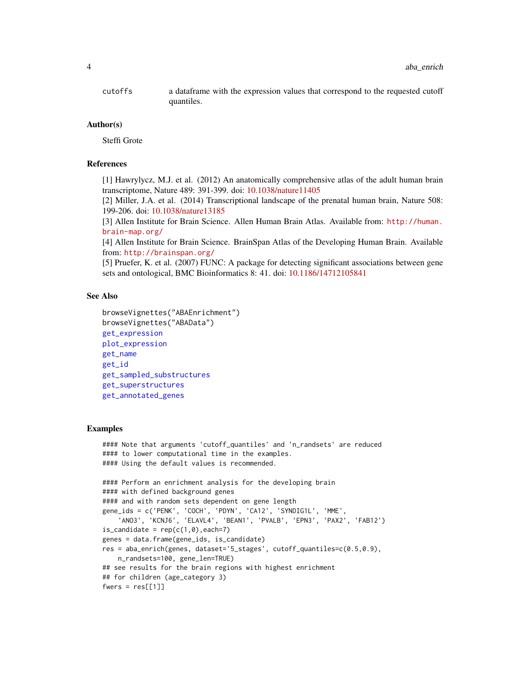<span id="page-3-0"></span>cutoffs a dataframe with the expression values that correspond to the requested cutoff quantiles.

#### Author(s)

Steffi Grote

# References

[1] Hawrylycz, M.J. et al. (2012) An anatomically comprehensive atlas of the adult human brain transcriptome, Nature 489: 391-399. doi: [10.1038/nature11405](https://doi.org/10.1038/nature11405)

[2] Miller, J.A. et al. (2014) Transcriptional landscape of the prenatal human brain, Nature 508: 199-206. doi: [10.1038/nature13185](https://doi.org/10.1038/nature13185)

[3] Allen Institute for Brain Science. Allen Human Brain Atlas. Available from: [http://human.](http://human.brain-map.org/) [brain-map.org/](http://human.brain-map.org/)

[4] Allen Institute for Brain Science. BrainSpan Atlas of the Developing Human Brain. Available from: <http://brainspan.org/>

[5] Pruefer, K. et al. (2007) FUNC: A package for detecting significant associations between gene sets and ontological, BMC Bioinformatics 8: 41. doi: [10.1186/14712105841](https://doi.org/10.1186/1471-2105-8-41)

# See Also

```
browseVignettes("ABAEnrichment")
browseVignettes("ABAData")
get_expression
plot_expression
get_name
get_id
get_sampled_substructures
get_superstructures
get_annotated_genes
```
# Examples

```
#### Note that arguments 'cutoff_quantiles' and 'n_randsets' are reduced
#### to lower computational time in the examples.
#### Using the default values is recommended.
#### Perform an enrichment analysis for the developing brain
#### with defined background genes
#### and with random sets dependent on gene length
gene_ids = c('PENK', 'COCH', 'PDYN', 'CA12', 'SYNDIG1L', 'MME',
    'ANO3', 'KCNJ6', 'ELAVL4', 'BEAN1', 'PVALB', 'EPN3', 'PAX2', 'FAB12')
is\_candidate = rep(c(1,0), each=7)genes = data.frame(gene_ids, is_candidate)
res = aba_enrich(genes, dataset='5_stages', cutoff_quantiles=c(0.5,0.9),
   n_randsets=100, gene_len=TRUE)
## see results for the brain regions with highest enrichment
## for children (age_category 3)
fwers = res[[1]]
```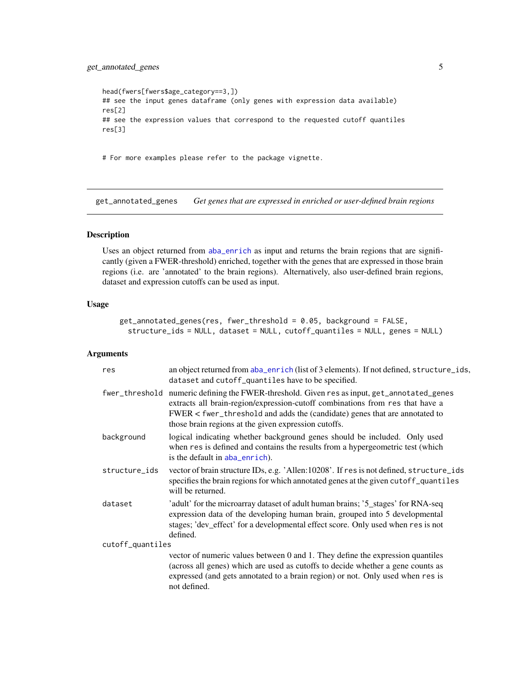# <span id="page-4-0"></span>get\_annotated\_genes 5

```
head(fwers[fwers$age_category==3,])
## see the input genes dataframe (only genes with expression data available)
res[2]
## see the expression values that correspond to the requested cutoff quantiles
res[3]
```
# For more examples please refer to the package vignette.

<span id="page-4-1"></span>get\_annotated\_genes *Get genes that are expressed in enriched or user-defined brain regions*

# Description

Uses an object returned from [aba\\_enrich](#page-1-1) as input and returns the brain regions that are significantly (given a FWER-threshold) enriched, together with the genes that are expressed in those brain regions (i.e. are 'annotated' to the brain regions). Alternatively, also user-defined brain regions, dataset and expression cutoffs can be used as input.

# Usage

```
get_annotated_genes(res, fwer_threshold = 0.05, background = FALSE,
  structure_ids = NULL, dataset = NULL, cutoff_quantiles = NULL, genes = NULL)
```
#### Arguments

| res              | an object returned from aba_enrich (list of 3 elements). If not defined, structure_ids,<br>dataset and cutoff_quantiles have to be specified.                                                                                                                                                       |
|------------------|-----------------------------------------------------------------------------------------------------------------------------------------------------------------------------------------------------------------------------------------------------------------------------------------------------|
| fwer_threshold   | numeric defining the FWER-threshold. Given res as input, get_annotated_genes<br>extracts all brain-region/expression-cutoff combinations from res that have a<br>FWER < fwer_threshold and adds the (candidate) genes that are annotated to<br>those brain regions at the given expression cutoffs. |
| background       | logical indicating whether background genes should be included. Only used<br>when res is defined and contains the results from a hypergeometric test (which<br>is the default in aba_enrich).                                                                                                       |
| structure_ids    | vector of brain structure IDs, e.g. 'Allen:10208'. If res is not defined, structure_ids<br>specifies the brain regions for which annotated genes at the given cutoff_quantiles<br>will be returned.                                                                                                 |
| dataset          | 'adult' for the microarray dataset of adult human brains; '5_stages' for RNA-seq<br>expression data of the developing human brain, grouped into 5 developmental<br>stages; 'dev_effect' for a developmental effect score. Only used when res is not<br>defined.                                     |
| cutoff_quantiles |                                                                                                                                                                                                                                                                                                     |
|                  | vector of numeric values between 0 and 1. They define the expression quantiles<br>(across all genes) which are used as cutoffs to decide whether a gene counts as<br>expressed (and gets annotated to a brain region) or not. Only used when res is<br>not defined.                                 |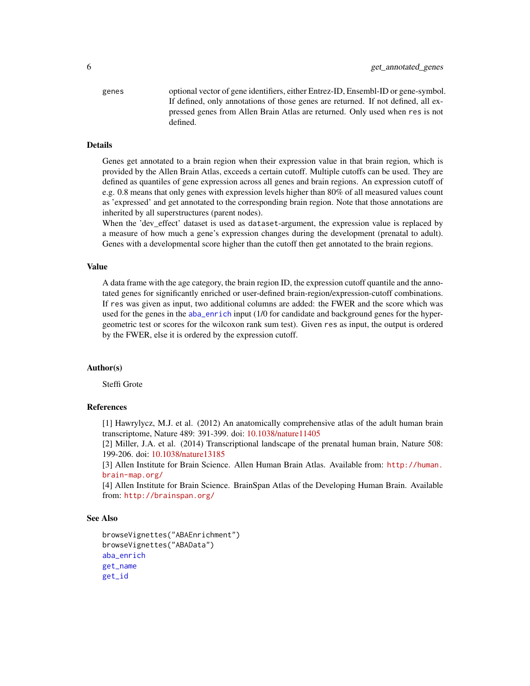<span id="page-5-0"></span>genes optional vector of gene identifiers, either Entrez-ID, Ensembl-ID or gene-symbol. If defined, only annotations of those genes are returned. If not defined, all expressed genes from Allen Brain Atlas are returned. Only used when res is not defined.

# Details

Genes get annotated to a brain region when their expression value in that brain region, which is provided by the Allen Brain Atlas, exceeds a certain cutoff. Multiple cutoffs can be used. They are defined as quantiles of gene expression across all genes and brain regions. An expression cutoff of e.g. 0.8 means that only genes with expression levels higher than 80% of all measured values count as 'expressed' and get annotated to the corresponding brain region. Note that those annotations are inherited by all superstructures (parent nodes).

When the 'dev\_effect' dataset is used as dataset-argument, the expression value is replaced by a measure of how much a gene's expression changes during the development (prenatal to adult). Genes with a developmental score higher than the cutoff then get annotated to the brain regions.

#### Value

A data frame with the age category, the brain region ID, the expression cutoff quantile and the annotated genes for significantly enriched or user-defined brain-region/expression-cutoff combinations. If res was given as input, two additional columns are added: the FWER and the score which was used for the genes in the [aba\\_enrich](#page-1-1) input (1/0 for candidate and background genes for the hypergeometric test or scores for the wilcoxon rank sum test). Given res as input, the output is ordered by the FWER, else it is ordered by the expression cutoff.

### Author(s)

Steffi Grote

# References

[1] Hawrylycz, M.J. et al. (2012) An anatomically comprehensive atlas of the adult human brain transcriptome, Nature 489: 391-399. doi: [10.1038/nature11405](https://doi.org/10.1038/nature11405)

[2] Miller, J.A. et al. (2014) Transcriptional landscape of the prenatal human brain, Nature 508: 199-206. doi: [10.1038/nature13185](https://doi.org/10.1038/nature13185)

[3] Allen Institute for Brain Science. Allen Human Brain Atlas. Available from: [http://human.](http://human.brain-map.org/) [brain-map.org/](http://human.brain-map.org/)

[4] Allen Institute for Brain Science. BrainSpan Atlas of the Developing Human Brain. Available from: <http://brainspan.org/>

### See Also

```
browseVignettes("ABAEnrichment")
browseVignettes("ABAData")
aba_enrich
get_name
get_id
```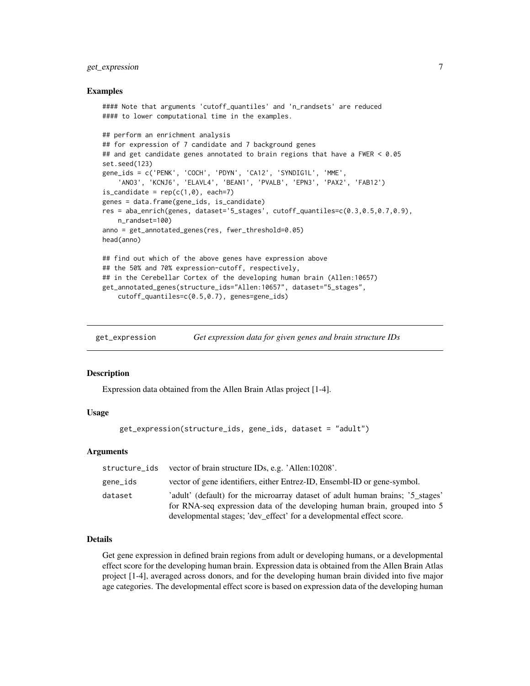# <span id="page-6-0"></span>get\_expression 7

#### Examples

```
#### Note that arguments 'cutoff_quantiles' and 'n_randsets' are reduced
#### to lower computational time in the examples.
## perform an enrichment analysis
## for expression of 7 candidate and 7 background genes
## and get candidate genes annotated to brain regions that have a FWER < 0.05
set.seed(123)
gene_ids = c('PENK', 'COCH', 'PDYN', 'CA12', 'SYNDIG1L', 'MME',
    'ANO3', 'KCNJ6', 'ELAVL4', 'BEAN1', 'PVALB', 'EPN3', 'PAX2', 'FAB12')
is_candidate = rep(c(1, \emptyset)), each=7)
genes = data.frame(gene_ids, is_candidate)
res = aba_enrich(genes, dataset='5_stages', cutoff_quantiles=c(0.3,0.5,0.7,0.9),
   n_randset=100)
anno = get_annotated_genes(res, fwer_threshold=0.05)
head(anno)
## find out which of the above genes have expression above
## the 50% and 70% expression-cutoff, respectively,
## in the Cerebellar Cortex of the developing human brain (Allen:10657)
get_annotated_genes(structure_ids="Allen:10657", dataset="5_stages",
    cutoff_quantiles=c(0.5,0.7), genes=gene_ids)
```
<span id="page-6-1"></span>get\_expression *Get expression data for given genes and brain structure IDs*

#### **Description**

Expression data obtained from the Allen Brain Atlas project [1-4].

# Usage

```
get_expression(structure_ids, gene_ids, dataset = "adult")
```
#### Arguments

| structure_ids | vector of brain structure IDs, e.g. 'Allen:10208'.                                                                                                                                                                                  |
|---------------|-------------------------------------------------------------------------------------------------------------------------------------------------------------------------------------------------------------------------------------|
| gene_ids      | vector of gene identifiers, either Entrez-ID, Ensembl-ID or gene-symbol.                                                                                                                                                            |
| dataset       | 'adult' (default) for the microarray dataset of adult human brains; '5_stages'<br>for RNA-seq expression data of the developing human brain, grouped into 5<br>developmental stages; 'dev_effect' for a developmental effect score. |

# Details

Get gene expression in defined brain regions from adult or developing humans, or a developmental effect score for the developing human brain. Expression data is obtained from the Allen Brain Atlas project [1-4], averaged across donors, and for the developing human brain divided into five major age categories. The developmental effect score is based on expression data of the developing human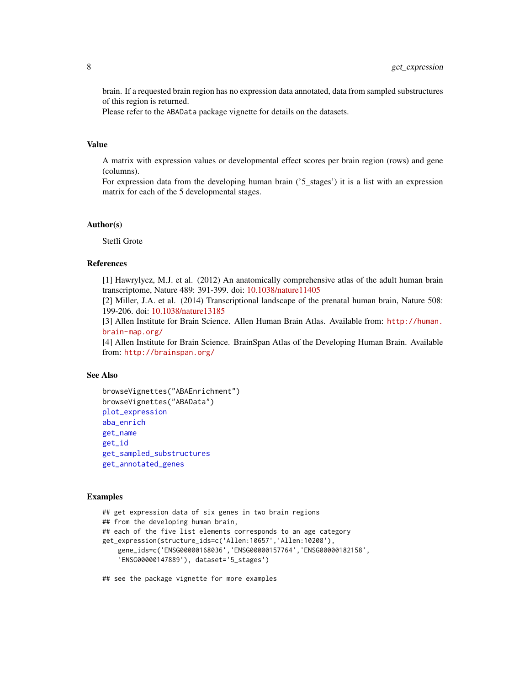brain. If a requested brain region has no expression data annotated, data from sampled substructures of this region is returned.

Please refer to the ABAData package vignette for details on the datasets.

# Value

A matrix with expression values or developmental effect scores per brain region (rows) and gene (columns).

For expression data from the developing human brain ('5\_stages') it is a list with an expression matrix for each of the 5 developmental stages.

#### Author(s)

Steffi Grote

# References

[1] Hawrylycz, M.J. et al. (2012) An anatomically comprehensive atlas of the adult human brain transcriptome, Nature 489: 391-399. doi: [10.1038/nature11405](https://doi.org/10.1038/nature11405)

[2] Miller, J.A. et al. (2014) Transcriptional landscape of the prenatal human brain, Nature 508: 199-206. doi: [10.1038/nature13185](https://doi.org/10.1038/nature13185)

[3] Allen Institute for Brain Science. Allen Human Brain Atlas. Available from: [http://human.](http://human.brain-map.org/) [brain-map.org/](http://human.brain-map.org/)

[4] Allen Institute for Brain Science. BrainSpan Atlas of the Developing Human Brain. Available from: <http://brainspan.org/>

#### See Also

```
browseVignettes("ABAEnrichment")
browseVignettes("ABAData")
plot_expression
aba_enrich
get_name
get_id
get_sampled_substructures
get_annotated_genes
```
#### Examples

```
## get expression data of six genes in two brain regions
## from the developing human brain,
## each of the five list elements corresponds to an age category
get_expression(structure_ids=c('Allen:10657','Allen:10208'),
    gene_ids=c('ENSG00000168036','ENSG00000157764','ENSG00000182158',
    'ENSG00000147889'), dataset='5_stages')
```
## see the package vignette for more examples

<span id="page-7-0"></span>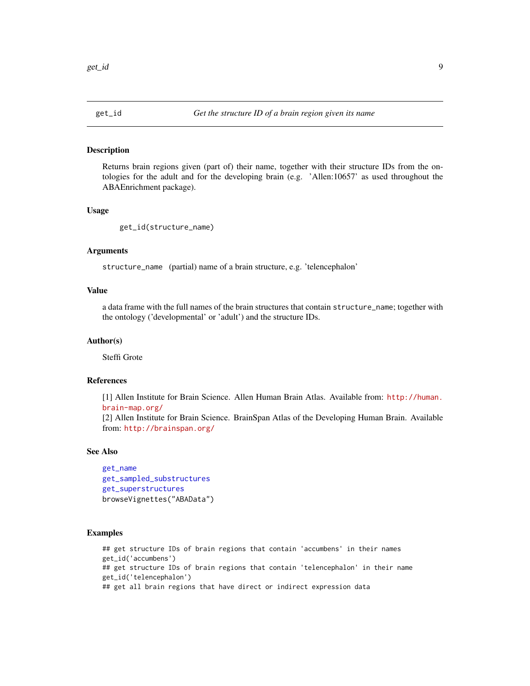<span id="page-8-1"></span><span id="page-8-0"></span>

#### Description

Returns brain regions given (part of) their name, together with their structure IDs from the ontologies for the adult and for the developing brain (e.g. 'Allen:10657' as used throughout the ABAEnrichment package).

#### Usage

```
get_id(structure_name)
```
#### Arguments

structure\_name (partial) name of a brain structure, e.g. 'telencephalon'

# Value

a data frame with the full names of the brain structures that contain structure\_name; together with the ontology ('developmental' or 'adult') and the structure IDs.

# Author(s)

Steffi Grote

# References

[1] Allen Institute for Brain Science. Allen Human Brain Atlas. Available from: [http://human.](http://human.brain-map.org/) [brain-map.org/](http://human.brain-map.org/)

[2] Allen Institute for Brain Science. BrainSpan Atlas of the Developing Human Brain. Available from: <http://brainspan.org/>

#### See Also

```
get_name
get_sampled_substructures
get_superstructures
browseVignettes("ABAData")
```
# Examples

## get structure IDs of brain regions that contain 'accumbens' in their names get\_id('accumbens') ## get structure IDs of brain regions that contain 'telencephalon' in their name get\_id('telencephalon') ## get all brain regions that have direct or indirect expression data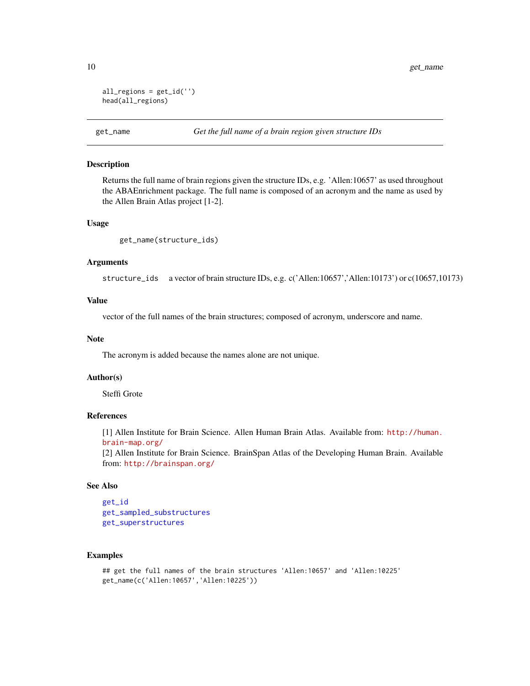```
all_regions = get_id('')
head(all_regions)
```
<span id="page-9-1"></span>

### Description

Returns the full name of brain regions given the structure IDs, e.g. 'Allen:10657' as used throughout the ABAEnrichment package. The full name is composed of an acronym and the name as used by the Allen Brain Atlas project [1-2].

#### Usage

```
get_name(structure_ids)
```
## Arguments

structure\_ids a vector of brain structure IDs, e.g. c('Allen:10657','Allen:10173') or c(10657,10173)

# Value

vector of the full names of the brain structures; composed of acronym, underscore and name.

#### Note

The acronym is added because the names alone are not unique.

#### Author(s)

Steffi Grote

#### References

[1] Allen Institute for Brain Science. Allen Human Brain Atlas. Available from: [http://human.](http://human.brain-map.org/) [brain-map.org/](http://human.brain-map.org/)

[2] Allen Institute for Brain Science. BrainSpan Atlas of the Developing Human Brain. Available from: <http://brainspan.org/>

# See Also

```
get_id
get_sampled_substructures
get_superstructures
```
#### Examples

```
## get the full names of the brain structures 'Allen:10657' and 'Allen:10225'
get_name(c('Allen:10657','Allen:10225'))
```
<span id="page-9-0"></span>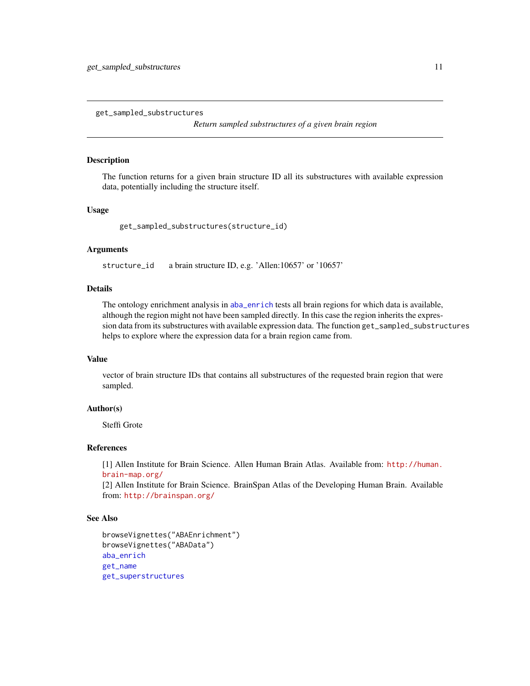<span id="page-10-1"></span><span id="page-10-0"></span>get\_sampled\_substructures

*Return sampled substructures of a given brain region*

### Description

The function returns for a given brain structure ID all its substructures with available expression data, potentially including the structure itself.

# Usage

get\_sampled\_substructures(structure\_id)

# Arguments

structure\_id a brain structure ID, e.g. 'Allen:10657' or '10657'

# Details

The ontology enrichment analysis in [aba\\_enrich](#page-1-1) tests all brain regions for which data is available, although the region might not have been sampled directly. In this case the region inherits the expression data from its substructures with available expression data. The function get\_sampled\_substructures helps to explore where the expression data for a brain region came from.

#### Value

vector of brain structure IDs that contains all substructures of the requested brain region that were sampled.

#### Author(s)

Steffi Grote

# References

[1] Allen Institute for Brain Science. Allen Human Brain Atlas. Available from: [http://human.](http://human.brain-map.org/) [brain-map.org/](http://human.brain-map.org/)

[2] Allen Institute for Brain Science. BrainSpan Atlas of the Developing Human Brain. Available from: <http://brainspan.org/>

# See Also

```
browseVignettes("ABAEnrichment")
browseVignettes("ABAData")
aba_enrich
get_name
get_superstructures
```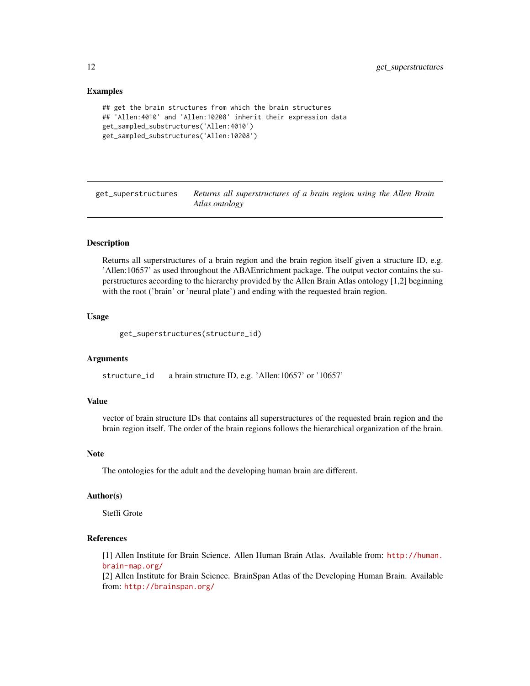# <span id="page-11-0"></span>Examples

```
## get the brain structures from which the brain structures
## 'Allen:4010' and 'Allen:10208' inherit their expression data
get_sampled_substructures('Allen:4010')
get_sampled_substructures('Allen:10208')
```
<span id="page-11-1"></span>get\_superstructures *Returns all superstructures of a brain region using the Allen Brain Atlas ontology*

# **Description**

Returns all superstructures of a brain region and the brain region itself given a structure ID, e.g. 'Allen:10657' as used throughout the ABAEnrichment package. The output vector contains the superstructures according to the hierarchy provided by the Allen Brain Atlas ontology [1,2] beginning with the root ('brain' or 'neural plate') and ending with the requested brain region.

#### Usage

get\_superstructures(structure\_id)

#### Arguments

structure\_id a brain structure ID, e.g. 'Allen:10657' or '10657'

# Value

vector of brain structure IDs that contains all superstructures of the requested brain region and the brain region itself. The order of the brain regions follows the hierarchical organization of the brain.

# Note

The ontologies for the adult and the developing human brain are different.

### Author(s)

Steffi Grote

# References

[1] Allen Institute for Brain Science. Allen Human Brain Atlas. Available from: [http://human.](http://human.brain-map.org/) [brain-map.org/](http://human.brain-map.org/)

[2] Allen Institute for Brain Science. BrainSpan Atlas of the Developing Human Brain. Available from: <http://brainspan.org/>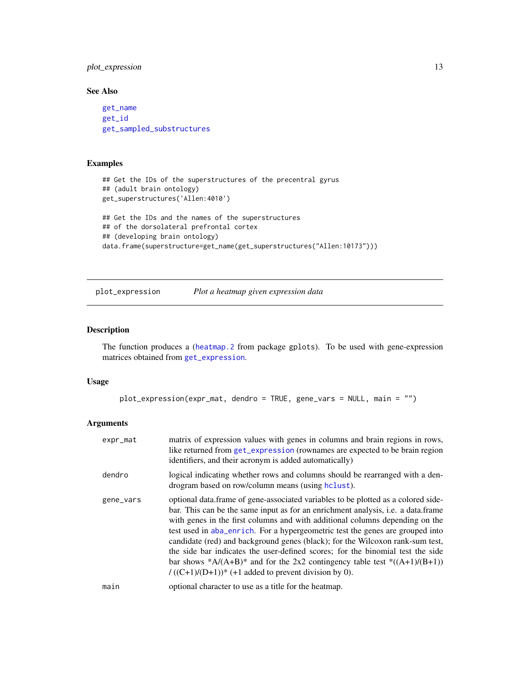# <span id="page-12-0"></span>plot\_expression 13

# See Also

[get\\_name](#page-9-1) [get\\_id](#page-8-1) [get\\_sampled\\_substructures](#page-10-1)

# Examples

```
## Get the IDs of the superstructures of the precentral gyrus
## (adult brain ontology)
get_superstructures('Allen:4010')
## Get the IDs and the names of the superstructures
## of the dorsolateral prefrontal cortex
## (developing brain ontology)
data.frame(superstructure=get_name(get_superstructures("Allen:10173")))
```
<span id="page-12-1"></span>plot\_expression *Plot a heatmap given expression data*

# Description

The function produces a ([heatmap.2](#page-0-0) from package gplots). To be used with gene-expression matrices obtained from [get\\_expression](#page-6-1).

# Usage

```
plot_expression(expr_mat, dendro = TRUE, gene_vars = NULL, main = "")
```
#### Arguments

| expr_mat  | matrix of expression values with genes in columns and brain regions in rows,<br>like returned from get_expression (rownames are expected to be brain region<br>identifiers, and their acronym is added automatically)                                                                                                                                                                                                                                                                                                                                                                                                                                        |
|-----------|--------------------------------------------------------------------------------------------------------------------------------------------------------------------------------------------------------------------------------------------------------------------------------------------------------------------------------------------------------------------------------------------------------------------------------------------------------------------------------------------------------------------------------------------------------------------------------------------------------------------------------------------------------------|
| dendro    | logical indicating whether rows and columns should be rearranged with a den-<br>drogram based on row/column means (using helust).                                                                                                                                                                                                                                                                                                                                                                                                                                                                                                                            |
| gene_vars | optional data.frame of gene-associated variables to be plotted as a colored side-<br>bar. This can be the same input as for an enrichment analysis, i.e. a data.frame<br>with genes in the first columns and with additional columns depending on the<br>test used in aba_enrich. For a hypergeometric test the genes are grouped into<br>candidate (red) and background genes (black); for the Wilcoxon rank-sum test,<br>the side bar indicates the user-defined scores; for the binomial test the side<br>bar shows *A/(A+B)* and for the 2x2 contingency table test *((A+1)/(B+1))<br>$/((C+1)/(D+1))$ <sup>*</sup> (+1 added to prevent division by 0). |
| main      | optional character to use as a title for the heatmap.                                                                                                                                                                                                                                                                                                                                                                                                                                                                                                                                                                                                        |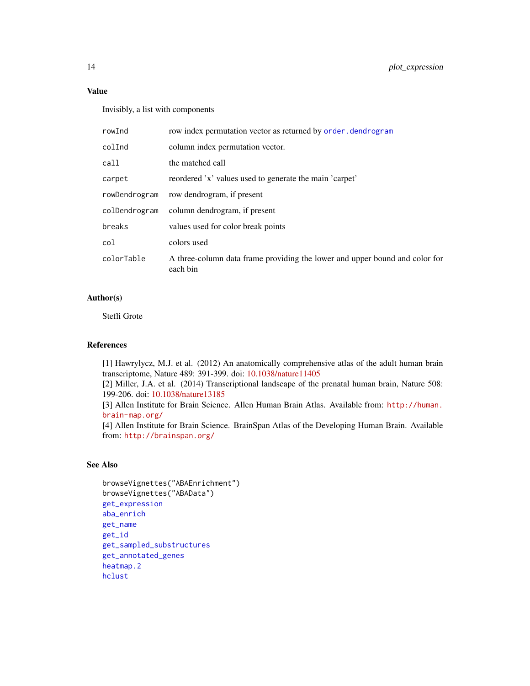# Value

Invisibly, a list with components

| rowInd        | row index permutation vector as returned by order. dendrogram                           |
|---------------|-----------------------------------------------------------------------------------------|
| colInd        | column index permutation vector.                                                        |
| call          | the matched call                                                                        |
| carpet        | reordered 'x' values used to generate the main 'carpet'                                 |
| rowDendrogram | row dendrogram, if present                                                              |
| colDendrogram | column dendrogram, if present                                                           |
| breaks        | values used for color break points                                                      |
| col           | colors used                                                                             |
| colorTable    | A three-column data frame providing the lower and upper bound and color for<br>each bin |

# Author(s)

Steffi Grote

# References

[1] Hawrylycz, M.J. et al. (2012) An anatomically comprehensive atlas of the adult human brain transcriptome, Nature 489: 391-399. doi: [10.1038/nature11405](https://doi.org/10.1038/nature11405)

[2] Miller, J.A. et al. (2014) Transcriptional landscape of the prenatal human brain, Nature 508: 199-206. doi: [10.1038/nature13185](https://doi.org/10.1038/nature13185)

[3] Allen Institute for Brain Science. Allen Human Brain Atlas. Available from: [http://human.](http://human.brain-map.org/) [brain-map.org/](http://human.brain-map.org/)

[4] Allen Institute for Brain Science. BrainSpan Atlas of the Developing Human Brain. Available from: <http://brainspan.org/>

# See Also

```
browseVignettes("ABAEnrichment")
browseVignettes("ABAData")
get_expression
aba_enrich
get_name
get_id
get_sampled_substructures
get_annotated_genes
heatmap.2
hclust
```
<span id="page-13-0"></span>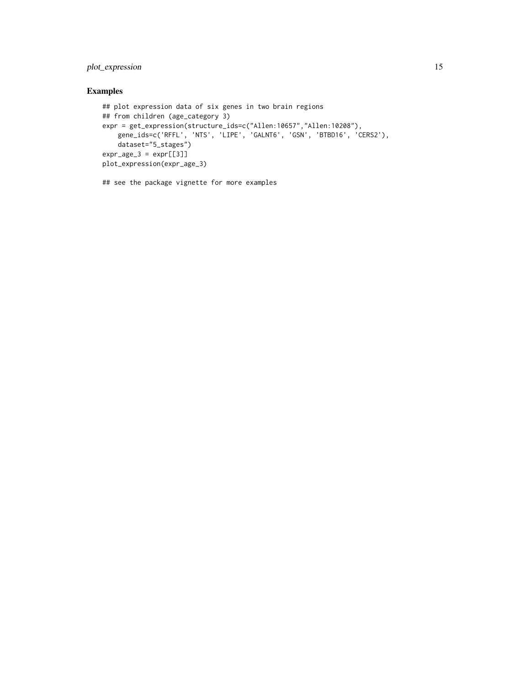# plot\_expression 15

# Examples

```
## plot expression data of six genes in two brain regions
## from children (age_category 3)
expr = get_expression(structure_ids=c("Allen:10657","Allen:10208"),
   gene_ids=c('RFFL', 'NTS', 'LIPE', 'GALNT6', 'GSN', 'BTBD16', 'CERS2'),
   dataset="5_stages")
expr\_age_3 = expr[[3]]plot_expression(expr_age_3)
```
## see the package vignette for more examples